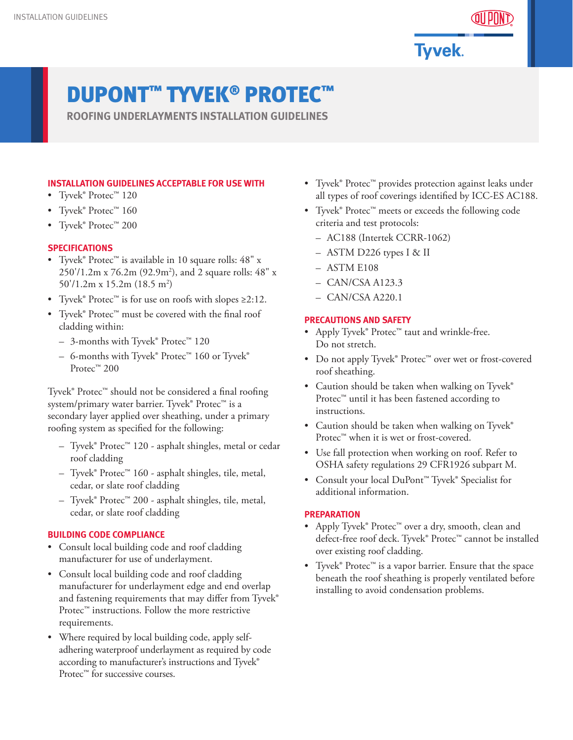

**Tyvek.** 

# DUPONT™ TYVEK® PROTEC™

**ROOFING UNDERLAYMENTS INSTALLATION GUIDELINES**

# **INSTALLATION GUIDELINES ACCEPTABLE FOR USE WITH**

- Tyvek® Protec™ 120
- Tyvek® Protec™ 160
- Tyvek® Protec™ 200

### **SPECIFICATIONS**

- Tyvek® Protec™ is available in 10 square rolls: 48" x 250'/1.2m x 76.2m (92.9m2 ), and 2 square rolls: 48" x 50'/1.2m x 15.2m (18.5 m<sup>2</sup>)
- Tyvek® Protec™ is for use on roofs with slopes ≥2:12.
- Tyvek® Protec™ must be covered with the final roof cladding within:
	- 3-months with Tyvek® Protec™ 120
	- 6-months with Tyvek® Protec™ 160 or Tyvek® Protec<sup>™</sup> 200

Tyvek® Protec™ should not be considered a final roofing system/primary water barrier. Tyvek® Protec<sup>™</sup> is a secondary layer applied over sheathing, under a primary roofing system as specified for the following:

- Tyvek® Protec™ 120 asphalt shingles, metal or cedar roof cladding
- Tyvek® Protec™ 160 asphalt shingles, tile, metal, cedar, or slate roof cladding
- Tyvek® Protec™ 200 asphalt shingles, tile, metal, cedar, or slate roof cladding

#### **BUILDING CODE COMPLIANCE**

- Consult local building code and roof cladding manufacturer for use of underlayment.
- Consult local building code and roof cladding manufacturer for underlayment edge and end overlap and fastening requirements that may differ from Tyvek® Protec<sup>™</sup> instructions. Follow the more restrictive requirements.
- Where required by local building code, apply selfadhering waterproof underlayment as required by code according to manufacturer's instructions and Tyvek® Protec<sup>™</sup> for successive courses.
- Tyvek® Protec™ provides protection against leaks under all types of roof coverings identified by ICC-ES AC188.
- Tyvek® Protec™ meets or exceeds the following code criteria and test protocols:
	- AC188 (Intertek CCRR-1062)
	- ASTM D226 types I & II
	- ASTM E108
	- CAN/CSA A123.3
	- CAN/CSA A220.1

#### **PRECAUTIONS AND SAFETY**

- Apply Tyvek® Protec™ taut and wrinkle-free. Do not stretch.
- Do not apply Tyvek® Protec™ over wet or frost-covered roof sheathing.
- Caution should be taken when walking on Tyvek® Protec™ until it has been fastened according to instructions.
- Caution should be taken when walking on Tyvek® Protec™ when it is wet or frost-covered.
- Use fall protection when working on roof. Refer to OSHA safety regulations 29 CFR1926 subpart M.
- Consult your local DuPont™ Tyvek® Specialist for additional information.

#### **PREPARATION**

- Apply Tyvek® Protec™ over a dry, smooth, clean and defect-free roof deck. Tyvek® Protec™ cannot be installed over existing roof cladding.
- Tyvek® Protec™ is a vapor barrier. Ensure that the space beneath the roof sheathing is properly ventilated before installing to avoid condensation problems.